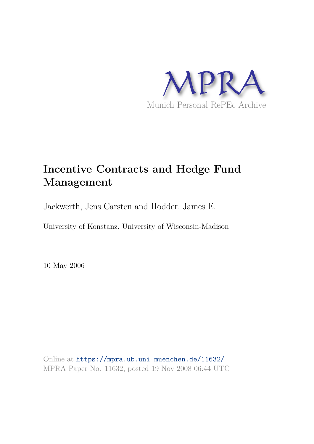

# **Incentive Contracts and Hedge Fund Management**

Jackwerth, Jens Carsten and Hodder, James E.

University of Konstanz, University of Wisconsin-Madison

10 May 2006

Online at https://mpra.ub.uni-muenchen.de/11632/ MPRA Paper No. 11632, posted 19 Nov 2008 06:44 UTC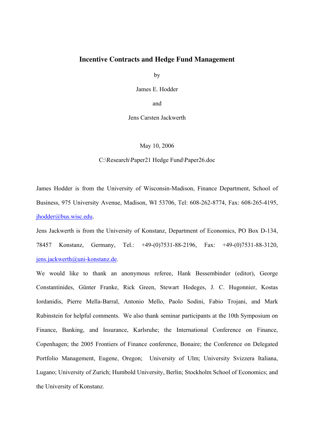# **Incentive Contracts and Hedge Fund Management**

by

James E. Hodder

and

Jens Carsten Jackwerth

May 10, 2006

C:\Research\Paper21 Hedge Fund\Paper26.doc

James Hodder is from the University of Wisconsin-Madison, Finance Department, School of Business, 975 University Avenue, Madison, WI 53706, Tel: 608-262-8774, Fax: 608-265-4195, jhodder@bus.wisc.edu.

Jens Jackwerth is from the University of Konstanz, Department of Economics, PO Box D-134, 78457 Konstanz, Germany, Tel.: +49-(0)7531-88-2196, Fax: +49-(0)7531-88-3120, jens.jackwerth@uni-konstanz.de.

We would like to thank an anonymous referee, Hank Bessembinder (editor), George Constantinides, Günter Franke, Rick Green, Stewart Hodeges, J. C. Hugonnier, Kostas Iordanidis, Pierre Mella-Barral, Antonio Mello, Paolo Sodini, Fabio Trojani, and Mark Rubinstein for helpful comments. We also thank seminar participants at the 10th Symposium on Finance, Banking, and Insurance, Karlsruhe; the International Conference on Finance, Copenhagen; the 2005 Frontiers of Finance conference, Bonaire; the Conference on Delegated Portfolio Management, Eugene, Oregon; University of Ulm; University Svizzera Italiana, Lugano; University of Zurich; Humbold University, Berlin; Stockholm School of Economics; and the University of Konstanz.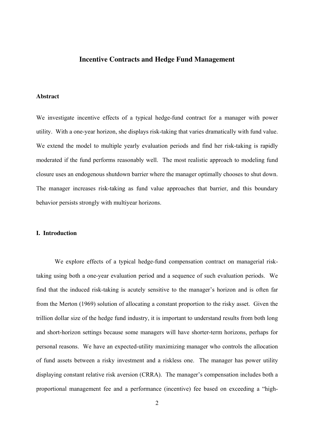# **Incentive Contracts and Hedge Fund Management**

#### **Abstract**

We investigate incentive effects of a typical hedge-fund contract for a manager with power utility. With a one-year horizon, she displays risk-taking that varies dramatically with fund value. We extend the model to multiple yearly evaluation periods and find her risk-taking is rapidly moderated if the fund performs reasonably well. The most realistic approach to modeling fund closure uses an endogenous shutdown barrier where the manager optimally chooses to shut down. The manager increases risk-taking as fund value approaches that barrier, and this boundary behavior persists strongly with multiyear horizons.

# **I. Introduction**

 We explore effects of a typical hedge-fund compensation contract on managerial risktaking using both a one-year evaluation period and a sequence of such evaluation periods. We find that the induced risk-taking is acutely sensitive to the manager's horizon and is often far from the Merton (1969) solution of allocating a constant proportion to the risky asset. Given the trillion dollar size of the hedge fund industry, it is important to understand results from both long and short-horizon settings because some managers will have shorter-term horizons, perhaps for personal reasons. We have an expected-utility maximizing manager who controls the allocation of fund assets between a risky investment and a riskless one. The manager has power utility displaying constant relative risk aversion (CRRA). The manager's compensation includes both a proportional management fee and a performance (incentive) fee based on exceeding a "high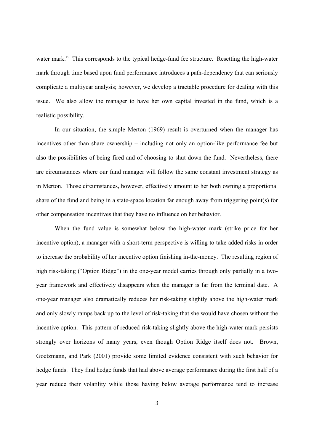water mark." This corresponds to the typical hedge-fund fee structure. Resetting the high-water mark through time based upon fund performance introduces a path-dependency that can seriously complicate a multiyear analysis; however, we develop a tractable procedure for dealing with this issue. We also allow the manager to have her own capital invested in the fund, which is a realistic possibility.

In our situation, the simple Merton (1969) result is overturned when the manager has incentives other than share ownership – including not only an option-like performance fee but also the possibilities of being fired and of choosing to shut down the fund. Nevertheless, there are circumstances where our fund manager will follow the same constant investment strategy as in Merton. Those circumstances, however, effectively amount to her both owning a proportional share of the fund and being in a state-space location far enough away from triggering point(s) for other compensation incentives that they have no influence on her behavior.

When the fund value is somewhat below the high-water mark (strike price for her incentive option), a manager with a short-term perspective is willing to take added risks in order to increase the probability of her incentive option finishing in-the-money. The resulting region of high risk-taking ("Option Ridge") in the one-year model carries through only partially in a twoyear framework and effectively disappears when the manager is far from the terminal date. A one-year manager also dramatically reduces her risk-taking slightly above the high-water mark and only slowly ramps back up to the level of risk-taking that she would have chosen without the incentive option. This pattern of reduced risk-taking slightly above the high-water mark persists strongly over horizons of many years, even though Option Ridge itself does not. Brown, Goetzmann, and Park (2001) provide some limited evidence consistent with such behavior for hedge funds. They find hedge funds that had above average performance during the first half of a year reduce their volatility while those having below average performance tend to increase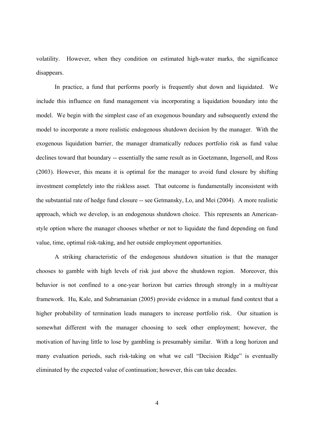volatility. However, when they condition on estimated high-water marks, the significance disappears.

In practice, a fund that performs poorly is frequently shut down and liquidated. We include this influence on fund management via incorporating a liquidation boundary into the model. We begin with the simplest case of an exogenous boundary and subsequently extend the model to incorporate a more realistic endogenous shutdown decision by the manager. With the exogenous liquidation barrier, the manager dramatically reduces portfolio risk as fund value declines toward that boundary -- essentially the same result as in Goetzmann, Ingersoll, and Ross (2003). However, this means it is optimal for the manager to avoid fund closure by shifting investment completely into the riskless asset. That outcome is fundamentally inconsistent with the substantial rate of hedge fund closure -- see Getmansky, Lo, and Mei (2004). A more realistic approach, which we develop, is an endogenous shutdown choice. This represents an Americanstyle option where the manager chooses whether or not to liquidate the fund depending on fund value, time, optimal risk-taking, and her outside employment opportunities.

A striking characteristic of the endogenous shutdown situation is that the manager chooses to gamble with high levels of risk just above the shutdown region. Moreover, this behavior is not confined to a one-year horizon but carries through strongly in a multiyear framework. Hu, Kale, and Subramanian (2005) provide evidence in a mutual fund context that a higher probability of termination leads managers to increase portfolio risk. Our situation is somewhat different with the manager choosing to seek other employment; however, the motivation of having little to lose by gambling is presumably similar. With a long horizon and many evaluation periods, such risk-taking on what we call "Decision Ridge" is eventually eliminated by the expected value of continuation; however, this can take decades.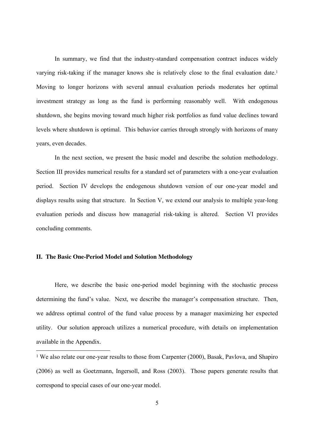In summary, we find that the industry-standard compensation contract induces widely varying risk-taking if the manager knows she is relatively close to the final evaluation date.<sup>1</sup> Moving to longer horizons with several annual evaluation periods moderates her optimal investment strategy as long as the fund is performing reasonably well. With endogenous shutdown, she begins moving toward much higher risk portfolios as fund value declines toward levels where shutdown is optimal. This behavior carries through strongly with horizons of many years, even decades.

In the next section, we present the basic model and describe the solution methodology. Section III provides numerical results for a standard set of parameters with a one-year evaluation period. Section IV develops the endogenous shutdown version of our one-year model and displays results using that structure. In Section V, we extend our analysis to multiple year-long evaluation periods and discuss how managerial risk-taking is altered. Section VI provides concluding comments.

# **II. The Basic One-Period Model and Solution Methodology**

 $\overline{a}$ 

 Here, we describe the basic one-period model beginning with the stochastic process determining the fund's value. Next, we describe the manager's compensation structure. Then, we address optimal control of the fund value process by a manager maximizing her expected utility. Our solution approach utilizes a numerical procedure, with details on implementation available in the Appendix.

<sup>&</sup>lt;sup>1</sup> We also relate our one-year results to those from Carpenter (2000), Basak, Pavlova, and Shapiro (2006) as well as Goetzmann, Ingersoll, and Ross (2003). Those papers generate results that correspond to special cases of our one-year model.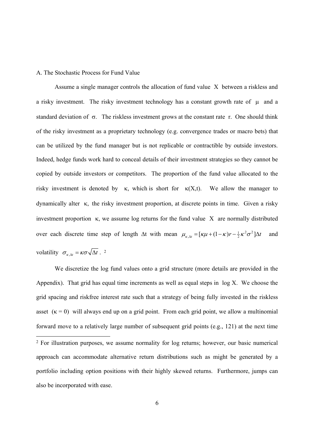#### A. The Stochastic Process for Fund Value

Assume a single manager controls the allocation of fund value X between a riskless and a risky investment. The risky investment technology has a constant growth rate of  $\mu$  and a standard deviation of  $\sigma$ . The riskless investment grows at the constant rate r. One should think of the risky investment as a proprietary technology (e.g. convergence trades or macro bets) that can be utilized by the fund manager but is not replicable or contractible by outside investors. Indeed, hedge funds work hard to conceal details of their investment strategies so they cannot be copied by outside investors or competitors. The proportion of the fund value allocated to the risky investment is denoted by  $\kappa$ , which is short for  $\kappa(X,t)$ . We allow the manager to dynamically alter κ, the risky investment proportion, at discrete points in time. Given a risky investment proportion κ, we assume log returns for the fund value X are normally distributed over each discrete time step of length  $\Delta t$  with mean  $\mu_{\kappa,\Delta t} = [\kappa \mu + (1 - \kappa) r - \frac{1}{2} \kappa^2 \sigma^2] \Delta t$  and volatility  $\sigma_{\kappa,\Delta t} = \kappa \sigma \sqrt{\Delta t}$ .<sup>2</sup>

We discretize the log fund values onto a grid structure (more details are provided in the Appendix). That grid has equal time increments as well as equal steps in log X. We choose the grid spacing and riskfree interest rate such that a strategy of being fully invested in the riskless asset  $(\kappa = 0)$  will always end up on a grid point. From each grid point, we allow a multinomial forward move to a relatively large number of subsequent grid points (e.g., 121) at the next time  $\overline{a}$ 2 For illustration purposes, we assume normality for log returns; however, our basic numerical approach can accommodate alternative return distributions such as might be generated by a portfolio including option positions with their highly skewed returns. Furthermore, jumps can also be incorporated with ease.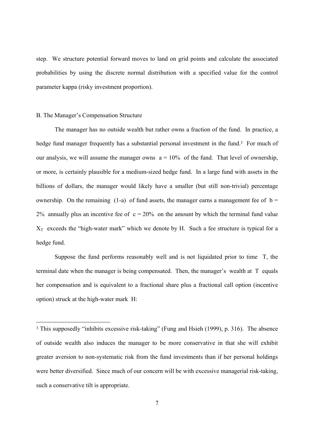step. We structure potential forward moves to land on grid points and calculate the associated probabilities by using the discrete normal distribution with a specified value for the control parameter kappa (risky investment proportion).

#### B. The Manager's Compensation Structure

 $\overline{a}$ 

 The manager has no outside wealth but rather owns a fraction of the fund. In practice, a hedge fund manager frequently has a substantial personal investment in the fund.<sup>3</sup> For much of our analysis, we will assume the manager owns  $a = 10\%$  of the fund. That level of ownership, or more, is certainly plausible for a medium-sized hedge fund. In a large fund with assets in the billions of dollars, the manager would likely have a smaller (but still non-trivial) percentage ownership. On the remaining (1-a) of fund assets, the manager earns a management fee of  $b =$ 2% annually plus an incentive fee of  $c = 20\%$  on the amount by which the terminal fund value  $X_T$  exceeds the "high-water mark" which we denote by H. Such a fee structure is typical for a hedge fund.

Suppose the fund performs reasonably well and is not liquidated prior to time T, the terminal date when the manager is being compensated. Then, the manager's wealth at T equals her compensation and is equivalent to a fractional share plus a fractional call option (incentive option) struck at the high-water mark H:

<sup>3</sup> This supposedly "inhibits excessive risk-taking" (Fung and Hsieh (1999), p. 316). The absence of outside wealth also induces the manager to be more conservative in that she will exhibit greater aversion to non-systematic risk from the fund investments than if her personal holdings were better diversified. Since much of our concern will be with excessive managerial risk-taking, such a conservative tilt is appropriate.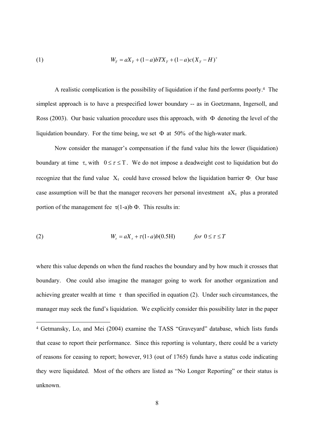(1) 
$$
W_T = aX_T + (1-a)bTX_T + (1-a)c(X_T - H)^+
$$

 A realistic complication is the possibility of liquidation if the fund performs poorly.<sup>4</sup> The simplest approach is to have a prespecified lower boundary -- as in Goetzmann, Ingersoll, and Ross (2003). Our basic valuation procedure uses this approach, with Φ denoting the level of the liquidation boundary. For the time being, we set  $\Phi$  at 50% of the high-water mark.

 Now consider the manager's compensation if the fund value hits the lower (liquidation) boundary at time  $\tau$ , with  $0 \le \tau \le T$ . We do not impose a deadweight cost to liquidation but do recognize that the fund value  $X<sub>\tau</sub>$  could have crossed below the liquidation barrier  $\Phi$ . Our base case assumption will be that the manager recovers her personal investment  $aX_{\tau}$  plus a prorated portion of the management fee  $τ(1-a)b Φ$ . This results in:

(2) 
$$
W_{\tau} = aX_{\tau} + \tau(1-a)b(0.5H) \quad \text{for } 0 \leq \tau \leq T
$$

 $\overline{a}$ 

where this value depends on when the fund reaches the boundary and by how much it crosses that boundary. One could also imagine the manager going to work for another organization and achieving greater wealth at time  $\tau$  than specified in equation (2). Under such circumstances, the manager may seek the fund's liquidation. We explicitly consider this possibility later in the paper

<sup>4</sup> Getmansky, Lo, and Mei (2004) examine the TASS "Graveyard" database, which lists funds that cease to report their performance. Since this reporting is voluntary, there could be a variety of reasons for ceasing to report; however, 913 (out of 1765) funds have a status code indicating they were liquidated. Most of the others are listed as "No Longer Reporting" or their status is unknown.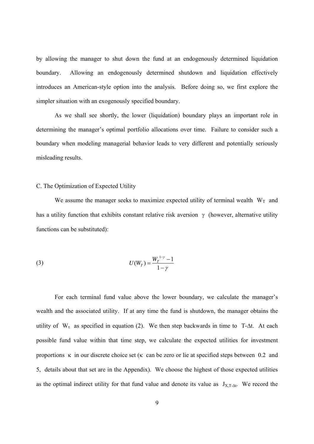by allowing the manager to shut down the fund at an endogenously determined liquidation boundary. Allowing an endogenously determined shutdown and liquidation effectively introduces an American-style option into the analysis. Before doing so, we first explore the simpler situation with an exogenously specified boundary.

 As we shall see shortly, the lower (liquidation) boundary plays an important role in determining the manager's optimal portfolio allocations over time. Failure to consider such a boundary when modeling managerial behavior leads to very different and potentially seriously misleading results.

## C. The Optimization of Expected Utility

We assume the manager seeks to maximize expected utility of terminal wealth  $W_T$  and has a utility function that exhibits constant relative risk aversion  $\gamma$  (however, alternative utility functions can be substituted):

(3) 
$$
U(W_T) = \frac{W_T^{1-\gamma} - 1}{1 - \gamma}
$$

For each terminal fund value above the lower boundary, we calculate the manager's wealth and the associated utility. If at any time the fund is shutdown, the manager obtains the utility of  $W_{\tau}$  as specified in equation (2). We then step backwards in time to T-∆t. At each possible fund value within that time step, we calculate the expected utilities for investment proportions  $\kappa$  in our discrete choice set ( $\kappa$  can be zero or lie at specified steps between 0.2 and 5, details about that set are in the Appendix). We choose the highest of those expected utilities as the optimal indirect utility for that fund value and denote its value as  $J_{X,T-\Delta t}$ . We record the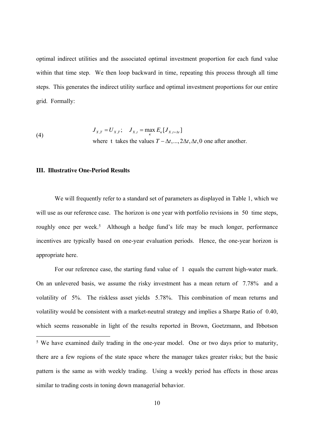optimal indirect utilities and the associated optimal investment proportion for each fund value within that time step. We then loop backward in time, repeating this process through all time steps. This generates the indirect utility surface and optimal investment proportions for our entire grid. Formally:

(4) 
$$
J_{X,T} = U_{X,T}; \quad J_{X,t} = \max_{k} E_{k}[J_{X,t+\Delta t}]
$$
  
where t takes the values  $T - \Delta t, ..., 2\Delta t, \Delta t, 0$  one after another.

# **III. Illustrative One-Period Results**

We will frequently refer to a standard set of parameters as displayed in Table 1, which we will use as our reference case. The horizon is one year with portfolio revisions in 50 time steps, roughly once per week.<sup>5</sup> Although a hedge fund's life may be much longer, performance incentives are typically based on one-year evaluation periods. Hence, the one-year horizon is appropriate here.

For our reference case, the starting fund value of 1 equals the current high-water mark. On an unlevered basis, we assume the risky investment has a mean return of 7.78% and a volatility of 5%. The riskless asset yields 5.78%. This combination of mean returns and volatility would be consistent with a market-neutral strategy and implies a Sharpe Ratio of 0.40, which seems reasonable in light of the results reported in Brown, Goetzmann, and Ibbotson  $\overline{a}$ <sup>5</sup> We have examined daily trading in the one-year model. One or two days prior to maturity, there are a few regions of the state space where the manager takes greater risks; but the basic

pattern is the same as with weekly trading. Using a weekly period has effects in those areas similar to trading costs in toning down managerial behavior.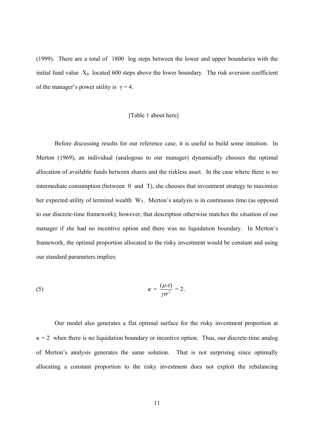(1999). There are a total of 1800 log steps between the lower and upper boundaries with the initial fund value  $X_0$  located 600 steps above the lower boundary. The risk aversion coefficient of the manager's power utility is  $\gamma = 4$ .

#### [Table 1 about here]

Before discussing results for our reference case, it is useful to build some intuition. In Merton (1969), an individual (analogous to our manager) dynamically chooses the optimal allocation of available funds between shares and the riskless asset. In the case where there is no intermediate consumption (between 0 and T), she chooses that investment strategy to maximize her expected utility of terminal wealth  $W_T$ . Merton's analysis is in continuous time (as opposed to our discrete-time framework); however, that description otherwise matches the situation of our manager if she had no incentive option and there was no liquidation boundary. In Merton's framework, the optimal proportion allocated to the risky investment would be constant and using our standard parameters implies:

(5) 
$$
\kappa = \frac{(\mu - r)}{\gamma \sigma^2} = 2.
$$

Our model also generates a flat optimal surface for the risky investment proportion at  $\kappa$  = 2 when there is no liquidation boundary or incentive option. Thus, our discrete-time analog of Merton's analysis generates the same solution. That is not surprising since optimally allocating a constant proportion to the risky investment does not exploit the rebalancing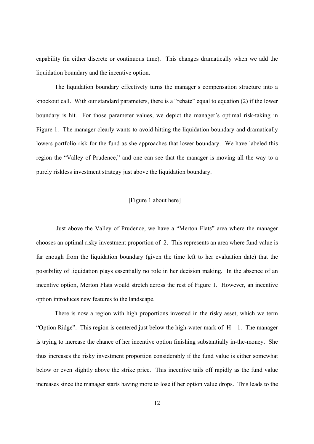capability (in either discrete or continuous time). This changes dramatically when we add the liquidation boundary and the incentive option.

The liquidation boundary effectively turns the manager's compensation structure into a knockout call. With our standard parameters, there is a "rebate" equal to equation (2) if the lower boundary is hit. For those parameter values, we depict the manager's optimal risk-taking in Figure 1. The manager clearly wants to avoid hitting the liquidation boundary and dramatically lowers portfolio risk for the fund as she approaches that lower boundary. We have labeled this region the "Valley of Prudence," and one can see that the manager is moving all the way to a purely riskless investment strategy just above the liquidation boundary.

# [Figure 1 about here]

 Just above the Valley of Prudence, we have a "Merton Flats" area where the manager chooses an optimal risky investment proportion of 2. This represents an area where fund value is far enough from the liquidation boundary (given the time left to her evaluation date) that the possibility of liquidation plays essentially no role in her decision making. In the absence of an incentive option, Merton Flats would stretch across the rest of Figure 1. However, an incentive option introduces new features to the landscape.

There is now a region with high proportions invested in the risky asset, which we term "Option Ridge". This region is centered just below the high-water mark of  $H = 1$ . The manager is trying to increase the chance of her incentive option finishing substantially in-the-money. She thus increases the risky investment proportion considerably if the fund value is either somewhat below or even slightly above the strike price. This incentive tails off rapidly as the fund value increases since the manager starts having more to lose if her option value drops. This leads to the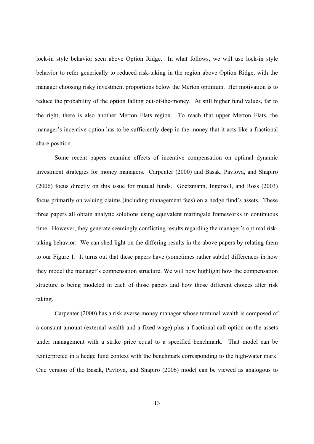lock-in style behavior seen above Option Ridge. In what follows, we will use lock-in style behavior to refer generically to reduced risk-taking in the region above Option Ridge, with the manager choosing risky investment proportions below the Merton optimum. Her motivation is to reduce the probability of the option falling out-of-the-money. At still higher fund values, far to the right, there is also another Merton Flats region. To reach that upper Merton Flats, the manager's incentive option has to be sufficiently deep in-the-money that it acts like a fractional share position.

Some recent papers examine effects of incentive compensation on optimal dynamic investment strategies for money managers. Carpenter (2000) and Basak, Pavlova, and Shapiro (2006) focus directly on this issue for mutual funds. Goetzmann, Ingersoll, and Ross (2003) focus primarily on valuing claims (including management fees) on a hedge fund's assets. These three papers all obtain analytic solutions using equivalent martingale frameworks in continuous time. However, they generate seemingly conflicting results regarding the manager's optimal risktaking behavior. We can shed light on the differing results in the above papers by relating them to our Figure 1. It turns out that these papers have (sometimes rather subtle) differences in how they model the manager's compensation structure. We will now highlight how the compensation structure is being modeled in each of those papers and how those different choices alter risk taking.

Carpenter (2000) has a risk averse money manager whose terminal wealth is composed of a constant amount (external wealth and a fixed wage) plus a fractional call option on the assets under management with a strike price equal to a specified benchmark. That model can be reinterpreted in a hedge fund context with the benchmark corresponding to the high-water mark. One version of the Basak, Pavlova, and Shapiro (2006) model can be viewed as analogous to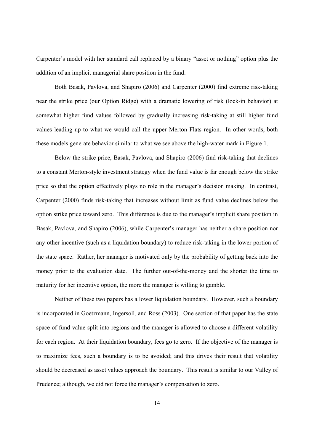Carpenter's model with her standard call replaced by a binary "asset or nothing" option plus the addition of an implicit managerial share position in the fund.

Both Basak, Pavlova, and Shapiro (2006) and Carpenter (2000) find extreme risk-taking near the strike price (our Option Ridge) with a dramatic lowering of risk (lock-in behavior) at somewhat higher fund values followed by gradually increasing risk-taking at still higher fund values leading up to what we would call the upper Merton Flats region. In other words, both these models generate behavior similar to what we see above the high-water mark in Figure 1.

Below the strike price, Basak, Pavlova, and Shapiro (2006) find risk-taking that declines to a constant Merton-style investment strategy when the fund value is far enough below the strike price so that the option effectively plays no role in the manager's decision making. In contrast, Carpenter (2000) finds risk-taking that increases without limit as fund value declines below the option strike price toward zero. This difference is due to the manager's implicit share position in Basak, Pavlova, and Shapiro (2006), while Carpenter's manager has neither a share position nor any other incentive (such as a liquidation boundary) to reduce risk-taking in the lower portion of the state space. Rather, her manager is motivated only by the probability of getting back into the money prior to the evaluation date. The further out-of-the-money and the shorter the time to maturity for her incentive option, the more the manager is willing to gamble.

Neither of these two papers has a lower liquidation boundary. However, such a boundary is incorporated in Goetzmann, Ingersoll, and Ross (2003). One section of that paper has the state space of fund value split into regions and the manager is allowed to choose a different volatility for each region. At their liquidation boundary, fees go to zero. If the objective of the manager is to maximize fees, such a boundary is to be avoided; and this drives their result that volatility should be decreased as asset values approach the boundary. This result is similar to our Valley of Prudence; although, we did not force the manager's compensation to zero.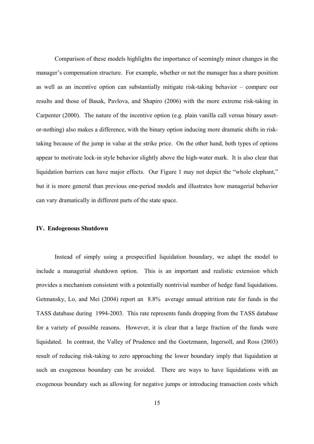Comparison of these models highlights the importance of seemingly minor changes in the manager's compensation structure. For example, whether or not the manager has a share position as well as an incentive option can substantially mitigate risk-taking behavior – compare our results and those of Basak, Pavlova, and Shapiro (2006) with the more extreme risk-taking in Carpenter (2000). The nature of the incentive option (e.g. plain vanilla call versus binary assetor-nothing) also makes a difference, with the binary option inducing more dramatic shifts in risktaking because of the jump in value at the strike price. On the other hand, both types of options appear to motivate lock-in style behavior slightly above the high-water mark. It is also clear that liquidation barriers can have major effects. Our Figure 1 may not depict the "whole elephant," but it is more general than previous one-period models and illustrates how managerial behavior can vary dramatically in different parts of the state space.

# **IV. Endogenous Shutdown**

Instead of simply using a prespecified liquidation boundary, we adapt the model to include a managerial shutdown option. This is an important and realistic extension which provides a mechanism consistent with a potentially nontrivial number of hedge fund liquidations. Getmansky, Lo, and Mei (2004) report an 8.8% average annual attrition rate for funds in the TASS database during 1994-2003. This rate represents funds dropping from the TASS database for a variety of possible reasons. However, it is clear that a large fraction of the funds were liquidated. In contrast, the Valley of Prudence and the Goetzmann, Ingersoll, and Ross (2003) result of reducing risk-taking to zero approaching the lower boundary imply that liquidation at such an exogenous boundary can be avoided. There are ways to have liquidations with an exogenous boundary such as allowing for negative jumps or introducing transaction costs which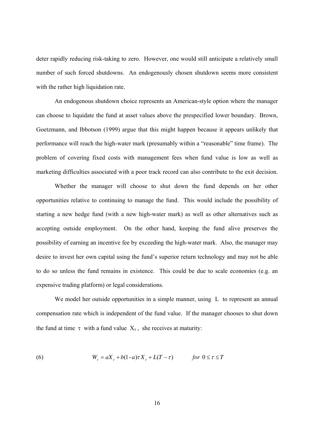deter rapidly reducing risk-taking to zero. However, one would still anticipate a relatively small number of such forced shutdowns. An endogenously chosen shutdown seems more consistent with the rather high liquidation rate.

An endogenous shutdown choice represents an American-style option where the manager can choose to liquidate the fund at asset values above the prespecified lower boundary. Brown, Goetzmann, and Ibbotson (1999) argue that this might happen because it appears unlikely that performance will reach the high-water mark (presumably within a "reasonable" time frame). The problem of covering fixed costs with management fees when fund value is low as well as marketing difficulties associated with a poor track record can also contribute to the exit decision.

 Whether the manager will choose to shut down the fund depends on her other opportunities relative to continuing to manage the fund. This would include the possibility of starting a new hedge fund (with a new high-water mark) as well as other alternatives such as accepting outside employment. On the other hand, keeping the fund alive preserves the possibility of earning an incentive fee by exceeding the high-water mark. Also, the manager may desire to invest her own capital using the fund's superior return technology and may not be able to do so unless the fund remains in existence. This could be due to scale economies (e.g. an expensive trading platform) or legal considerations.

We model her outside opportunities in a simple manner, using L to represent an annual compensation rate which is independent of the fund value. If the manager chooses to shut down the fund at time  $\tau$  with a fund value  $X_{\tau}$ , she receives at maturity:

(6) 
$$
W_{\tau} = aX_{\tau} + b(1-a)\tau X_{\tau} + L(T-\tau) \qquad \text{for } 0 \leq \tau \leq T
$$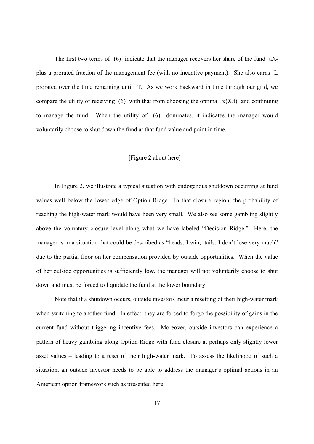The first two terms of (6) indicate that the manager recovers her share of the fund  $aX_t$ plus a prorated fraction of the management fee (with no incentive payment). She also earns L prorated over the time remaining until T. As we work backward in time through our grid, we compare the utility of receiving (6) with that from choosing the optimal  $\kappa(X,t)$  and continuing to manage the fund. When the utility of (6) dominates, it indicates the manager would voluntarily choose to shut down the fund at that fund value and point in time.

#### [Figure 2 about here]

In Figure 2, we illustrate a typical situation with endogenous shutdown occurring at fund values well below the lower edge of Option Ridge. In that closure region, the probability of reaching the high-water mark would have been very small. We also see some gambling slightly above the voluntary closure level along what we have labeled "Decision Ridge." Here, the manager is in a situation that could be described as "heads: I win, tails: I don't lose very much" due to the partial floor on her compensation provided by outside opportunities. When the value of her outside opportunities is sufficiently low, the manager will not voluntarily choose to shut down and must be forced to liquidate the fund at the lower boundary.

Note that if a shutdown occurs, outside investors incur a resetting of their high-water mark when switching to another fund. In effect, they are forced to forgo the possibility of gains in the current fund without triggering incentive fees. Moreover, outside investors can experience a pattern of heavy gambling along Option Ridge with fund closure at perhaps only slightly lower asset values – leading to a reset of their high-water mark. To assess the likelihood of such a situation, an outside investor needs to be able to address the manager's optimal actions in an American option framework such as presented here.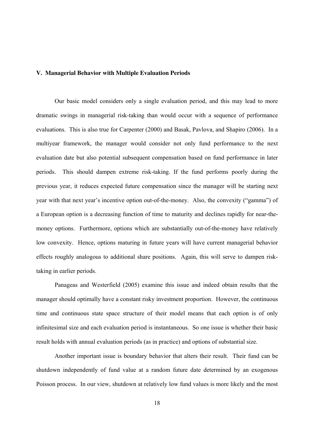## **V. Managerial Behavior with Multiple Evaluation Periods**

Our basic model considers only a single evaluation period, and this may lead to more dramatic swings in managerial risk-taking than would occur with a sequence of performance evaluations. This is also true for Carpenter (2000) and Basak, Pavlova, and Shapiro (2006). In a multiyear framework, the manager would consider not only fund performance to the next evaluation date but also potential subsequent compensation based on fund performance in later periods. This should dampen extreme risk-taking. If the fund performs poorly during the previous year, it reduces expected future compensation since the manager will be starting next year with that next year's incentive option out-of-the-money. Also, the convexity ("gamma") of a European option is a decreasing function of time to maturity and declines rapidly for near-themoney options. Furthermore, options which are substantially out-of-the-money have relatively low convexity. Hence, options maturing in future years will have current managerial behavior effects roughly analogous to additional share positions. Again, this will serve to dampen risktaking in earlier periods.

Panageas and Westerfield (2005) examine this issue and indeed obtain results that the manager should optimally have a constant risky investment proportion. However, the continuous time and continuous state space structure of their model means that each option is of only infinitesimal size and each evaluation period is instantaneous. So one issue is whether their basic result holds with annual evaluation periods (as in practice) and options of substantial size.

Another important issue is boundary behavior that alters their result. Their fund can be shutdown independently of fund value at a random future date determined by an exogenous Poisson process. In our view, shutdown at relatively low fund values is more likely and the most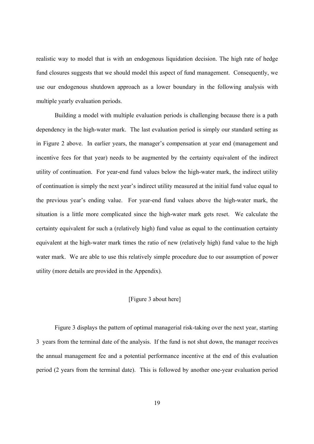realistic way to model that is with an endogenous liquidation decision. The high rate of hedge fund closures suggests that we should model this aspect of fund management. Consequently, we use our endogenous shutdown approach as a lower boundary in the following analysis with multiple yearly evaluation periods.

Building a model with multiple evaluation periods is challenging because there is a path dependency in the high-water mark. The last evaluation period is simply our standard setting as in Figure 2 above. In earlier years, the manager's compensation at year end (management and incentive fees for that year) needs to be augmented by the certainty equivalent of the indirect utility of continuation. For year-end fund values below the high-water mark, the indirect utility of continuation is simply the next year's indirect utility measured at the initial fund value equal to the previous year's ending value. For year-end fund values above the high-water mark, the situation is a little more complicated since the high-water mark gets reset. We calculate the certainty equivalent for such a (relatively high) fund value as equal to the continuation certainty equivalent at the high-water mark times the ratio of new (relatively high) fund value to the high water mark. We are able to use this relatively simple procedure due to our assumption of power utility (more details are provided in the Appendix).

# [Figure 3 about here]

Figure 3 displays the pattern of optimal managerial risk-taking over the next year, starting 3 years from the terminal date of the analysis. If the fund is not shut down, the manager receives the annual management fee and a potential performance incentive at the end of this evaluation period (2 years from the terminal date). This is followed by another one-year evaluation period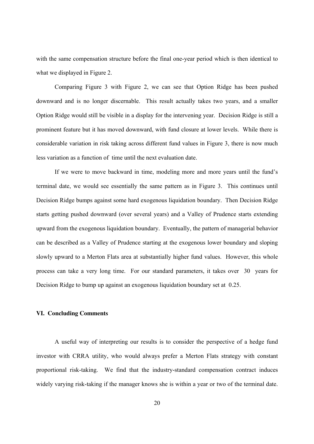with the same compensation structure before the final one-year period which is then identical to what we displayed in Figure 2.

Comparing Figure 3 with Figure 2, we can see that Option Ridge has been pushed downward and is no longer discernable. This result actually takes two years, and a smaller Option Ridge would still be visible in a display for the intervening year. Decision Ridge is still a prominent feature but it has moved downward, with fund closure at lower levels. While there is considerable variation in risk taking across different fund values in Figure 3, there is now much less variation as a function of time until the next evaluation date.

If we were to move backward in time, modeling more and more years until the fund's terminal date, we would see essentially the same pattern as in Figure 3. This continues until Decision Ridge bumps against some hard exogenous liquidation boundary. Then Decision Ridge starts getting pushed downward (over several years) and a Valley of Prudence starts extending upward from the exogenous liquidation boundary. Eventually, the pattern of managerial behavior can be described as a Valley of Prudence starting at the exogenous lower boundary and sloping slowly upward to a Merton Flats area at substantially higher fund values. However, this whole process can take a very long time. For our standard parameters, it takes over 30 years for Decision Ridge to bump up against an exogenous liquidation boundary set at 0.25.

### **VI. Concluding Comments**

A useful way of interpreting our results is to consider the perspective of a hedge fund investor with CRRA utility, who would always prefer a Merton Flats strategy with constant proportional risk-taking. We find that the industry-standard compensation contract induces widely varying risk-taking if the manager knows she is within a year or two of the terminal date.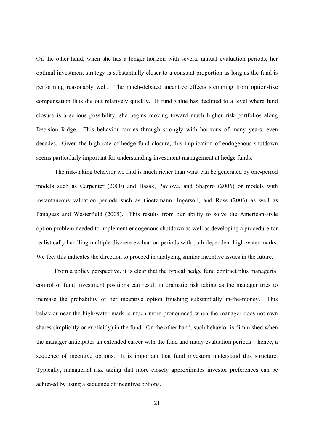On the other hand, when she has a longer horizon with several annual evaluation periods, her optimal investment strategy is substantially closer to a constant proportion as long as the fund is performing reasonably well. The much-debated incentive effects stemming from option-like compensation thus die out relatively quickly. If fund value has declined to a level where fund closure is a serious possibility, she begins moving toward much higher risk portfolios along Decision Ridge. This behavior carries through strongly with horizons of many years, even decades. Given the high rate of hedge fund closure, this implication of endogenous shutdown seems particularly important for understanding investment management at hedge funds.

The risk-taking behavior we find is much richer than what can be generated by one-period models such as Carpenter (2000) and Basak, Pavlova, and Shapiro (2006) or models with instantaneous valuation periods such as Goetzmann, Ingersoll, and Ross (2003) as well as Panageas and Westerfield (2005). This results from our ability to solve the American-style option problem needed to implement endogenous shutdown as well as developing a procedure for realistically handling multiple discrete evaluation periods with path dependent high-water marks. We feel this indicates the direction to proceed in analyzing similar incentive issues in the future.

From a policy perspective, it is clear that the typical hedge fund contract plus managerial control of fund investment positions can result in dramatic risk taking as the manager tries to increase the probability of her incentive option finishing substantially in-the-money. This behavior near the high-water mark is much more pronounced when the manager does not own shares (implicitly or explicitly) in the fund. On the other hand, such behavior is diminished when the manager anticipates an extended career with the fund and many evaluation periods – hence, a sequence of incentive options. It is important that fund investors understand this structure. Typically, managerial risk taking that more closely approximates investor preferences can be achieved by using a sequence of incentive options.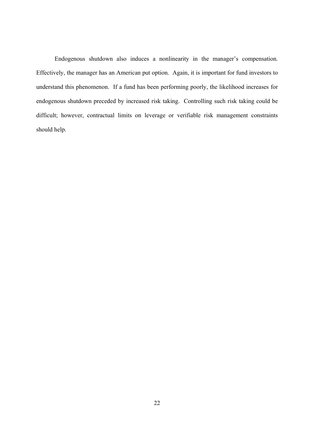Endogenous shutdown also induces a nonlinearity in the manager's compensation. Effectively, the manager has an American put option. Again, it is important for fund investors to understand this phenomenon. If a fund has been performing poorly, the likelihood increases for endogenous shutdown preceded by increased risk taking. Controlling such risk taking could be difficult; however, contractual limits on leverage or verifiable risk management constraints should help.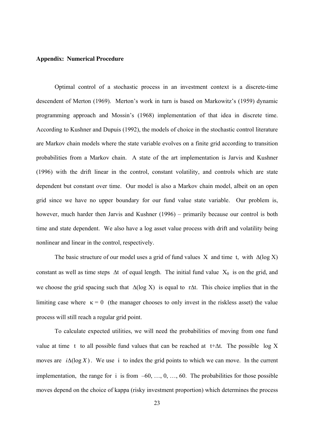#### **Appendix: Numerical Procedure**

Optimal control of a stochastic process in an investment context is a discrete-time descendent of Merton (1969). Merton's work in turn is based on Markowitz's (1959) dynamic programming approach and Mossin's (1968) implementation of that idea in discrete time. According to Kushner and Dupuis (1992), the models of choice in the stochastic control literature are Markov chain models where the state variable evolves on a finite grid according to transition probabilities from a Markov chain. A state of the art implementation is Jarvis and Kushner (1996) with the drift linear in the control, constant volatility, and controls which are state dependent but constant over time. Our model is also a Markov chain model, albeit on an open grid since we have no upper boundary for our fund value state variable. Our problem is, however, much harder then Jarvis and Kushner (1996) – primarily because our control is both time and state dependent. We also have a log asset value process with drift and volatility being nonlinear and linear in the control, respectively.

The basic structure of our model uses a grid of fund values X and time t, with  $\Delta(\log X)$ constant as well as time steps  $\Delta t$  of equal length. The initial fund value  $X_0$  is on the grid, and we choose the grid spacing such that  $Δ(log X)$  is equal to rΔt. This choice implies that in the limiting case where  $\kappa = 0$  (the manager chooses to only invest in the riskless asset) the value process will still reach a regular grid point.

 To calculate expected utilities, we will need the probabilities of moving from one fund value at time t to all possible fund values that can be reached at t+∆t. The possible log X moves are  $i\Delta(\log X)$ . We use i to index the grid points to which we can move. In the current implementation, the range for i is from  $-60, \ldots, 0, \ldots, 60$ . The probabilities for those possible moves depend on the choice of kappa (risky investment proportion) which determines the process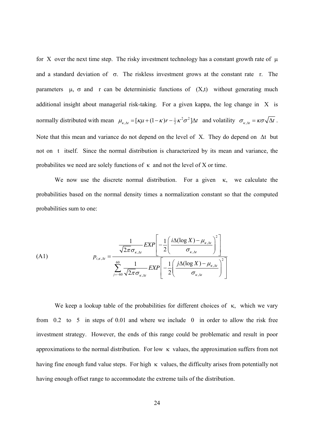for X over the next time step. The risky investment technology has a constant growth rate of  $\mu$ and a standard deviation of  $\sigma$ . The riskless investment grows at the constant rate r. The parameters  $\mu$ ,  $\sigma$  and r can be deterministic functions of  $(X,t)$  without generating much additional insight about managerial risk-taking. For a given kappa, the log change in X is normally distributed with mean  $\mu_{\kappa, \Delta t} = [\kappa \mu + (1 - \kappa) r - \frac{1}{2} \kappa^2 \sigma^2] \Delta t$  and volatility  $\sigma_{\kappa, \Delta t} = \kappa \sigma \sqrt{\Delta t}$ . Note that this mean and variance do not depend on the level of X. They do depend on ∆t but not on t itself. Since the normal distribution is characterized by its mean and variance, the probabilites we need are solely functions of  $\kappa$  and not the level of X or time.

We now use the discrete normal distribution. For a given  $\kappa$ , we calculate the probabilities based on the normal density times a normalization constant so that the computed probabilities sum to one:

(A1)  

$$
p_{i,\kappa,\Delta t} = \frac{\frac{1}{\sqrt{2\pi}\sigma_{\kappa,\Delta t}} EXP\left[-\frac{1}{2}\left(\frac{i\Delta(\log X) - \mu_{\kappa,\Delta t}}{\sigma_{\kappa,\Delta t}}\right)^{2}\right]}{\sum_{j=-60}^{60} \frac{1}{\sqrt{2\pi}\sigma_{\kappa,\Delta t}} EXP\left[-\frac{1}{2}\left(\frac{j\Delta(\log X) - \mu_{\kappa,\Delta t}}{\sigma_{\kappa,\Delta t}}\right)^{2}\right]}
$$

We keep a lookup table of the probabilities for different choices of  $\kappa$ , which we vary from 0.2 to 5 in steps of 0.01 and where we include 0 in order to allow the risk free investment strategy. However, the ends of this range could be problematic and result in poor approximations to the normal distribution. For low  $\kappa$  values, the approximation suffers from not having fine enough fund value steps. For high  $\kappa$  values, the difficulty arises from potentially not having enough offset range to accommodate the extreme tails of the distribution.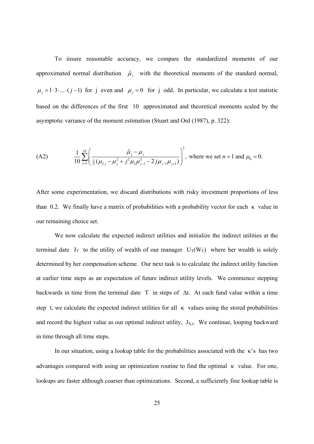To insure reasonable accuracy, we compare the standardized moments of our approximated normal distribution  $\hat{\mu}_j$  with the theoretical moments of the standard normal,  $\mu_j = 1 \cdot 3 \cdot ... \cdot (j-1)$  for j even and  $\mu_j = 0$  for j odd. In particular, we calculate a test statistic based on the differences of the first 10 approximated and theoretical moments scaled by the asymptotic variance of the moment estimation (Stuart and Ord (1987), p. 322):

(A2) 
$$
\frac{1}{10} \sum_{j=1}^{10} \left( \frac{\hat{\mu}_j - \mu_j}{\frac{1}{n} (\mu_{2j} - \mu_j^2 + j^2 \mu_2 \mu_{j-1}^2 - 2j \mu_{j-1} \mu_{j+1})} \right)^2
$$
, where we set  $n = 1$  and  $\mu_0 = 0$ .

After some experimentation, we discard distributions with risky investment proportions of less than 0.2. We finally have a matrix of probabilities with a probability vector for each  $\kappa$  value in our remaining choice set.

We now calculate the expected indirect utilities and initialize the indirect utilities at the terminal date  $J_T$  to the utility of wealth of our manager  $U_T(W_T)$  where her wealth is solely determined by her compensation scheme. Our next task is to calculate the indirect utility function at earlier time steps as an expectation of future indirect utility levels. We commence stepping backwards in time from the terminal date T in steps of ∆t. At each fund value within a time step t, we calculate the expected indirect utilities for all  $\kappa$  values using the stored probabilities and record the highest value as our optimal indirect utility,  $J_{X,t}$ . We continue, looping backward in time through all time steps.

In our situation, using a lookup table for the probabilities associated with the κ's has two advantages compared with using an optimization routine to find the optimal  $\kappa$  value. For one, lookups are faster although coarser than optimizations. Second, a sufficiently fine lookup table is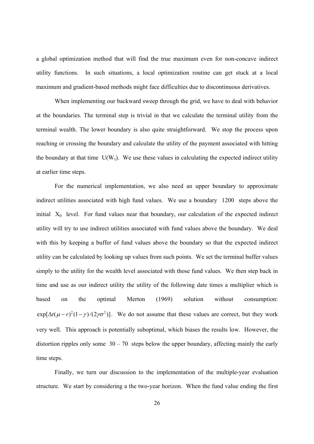a global optimization method that will find the true maximum even for non-concave indirect utility functions. In such situations, a local optimization routine can get stuck at a local maximum and gradient-based methods might face difficulties due to discontinuous derivatives.

When implementing our backward sweep through the grid, we have to deal with behavior at the boundaries. The terminal step is trivial in that we calculate the terminal utility from the terminal wealth. The lower boundary is also quite straightforward. We stop the process upon reaching or crossing the boundary and calculate the utility of the payment associated with hitting the boundary at that time  $U(W_\tau)$ . We use these values in calculating the expected indirect utility at earlier time steps.

 For the numerical implementation, we also need an upper boundary to approximate indirect utilities associated with high fund values. We use a boundary 1200 steps above the initial  $X_0$  level. For fund values near that boundary, our calculation of the expected indirect utility will try to use indirect utilities associated with fund values above the boundary. We deal with this by keeping a buffer of fund values above the boundary so that the expected indirect utility can be calculated by looking up values from such points.We set the terminal buffer values simply to the utility for the wealth level associated with those fund values. We then step back in time and use as our indirect utility the utility of the following date times a multiplier which is based on the optimal Merton (1969) solution without consumption:  $\exp[\Delta t(\mu - r)^2(1 - \gamma)/(2\gamma\sigma^2)]$ . We do not assume that these values are correct, but they work very well. This approach is potentially suboptimal, which biases the results low. However, the distortion ripples only some  $30 - 70$  steps below the upper boundary, affecting mainly the early time steps.

 Finally, we turn our discussion to the implementation of the multiple-year evaluation structure. We start by considering a the two-year horizon. When the fund value ending the first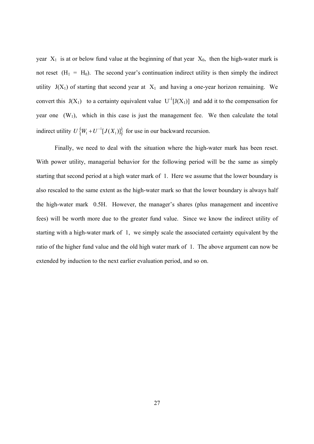year  $X_1$  is at or below fund value at the beginning of that year  $X_0$ , then the high-water mark is not reset  $(H_1 = H_0)$ . The second year's continuation indirect utility is then simply the indirect utility  $J(X_1)$  of starting that second year at  $X_1$  and having a one-year horizon remaining. We convert this  $J(X_1)$  to a certainty equivalent value  $U^{-1}[J(X_1)]$  and add it to the compensation for year one  $(W_1)$ , which in this case is just the management fee. We then calculate the total indirect utility  $U\{W_1 + U^{-1}[J(X_1)]\}$  for use in our backward recursion.

Finally, we need to deal with the situation where the high-water mark has been reset. With power utility, managerial behavior for the following period will be the same as simply starting that second period at a high water mark of 1. Here we assume that the lower boundary is also rescaled to the same extent as the high-water mark so that the lower boundary is always half the high-water mark 0.5H. However, the manager's shares (plus management and incentive fees) will be worth more due to the greater fund value. Since we know the indirect utility of starting with a high-water mark of 1, we simply scale the associated certainty equivalent by the ratio of the higher fund value and the old high water mark of 1. The above argument can now be extended by induction to the next earlier evaluation period, and so on.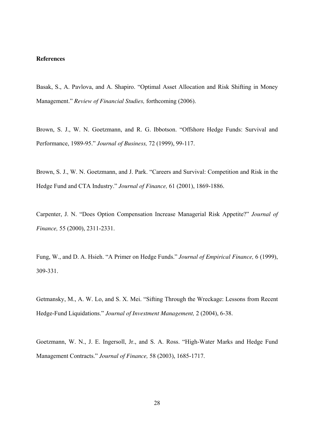#### **References**

Basak, S., A. Pavlova, and A. Shapiro. "Optimal Asset Allocation and Risk Shifting in Money Management." *Review of Financial Studies,* forthcoming (2006).

Brown, S. J., W. N. Goetzmann, and R. G. Ibbotson. "Offshore Hedge Funds: Survival and Performance, 1989-95." *Journal of Business,* 72 (1999), 99-117.

Brown, S. J., W. N. Goetzmann, and J. Park. "Careers and Survival: Competition and Risk in the Hedge Fund and CTA Industry." *Journal of Finance,* 61 (2001), 1869-1886.

Carpenter, J. N. "Does Option Compensation Increase Managerial Risk Appetite?" *Journal of Finance,* 55 (2000), 2311-2331.

Fung, W., and D. A. Hsieh. "A Primer on Hedge Funds." *Journal of Empirical Finance,* 6 (1999), 309-331.

Getmansky, M., A. W. Lo, and S. X. Mei. "Sifting Through the Wreckage: Lessons from Recent Hedge-Fund Liquidations." *Journal of Investment Management,* 2 (2004), 6-38.

Goetzmann, W. N., J. E. Ingersoll, Jr., and S. A. Ross. "High-Water Marks and Hedge Fund Management Contracts." *Journal of Finance,* 58 (2003), 1685-1717.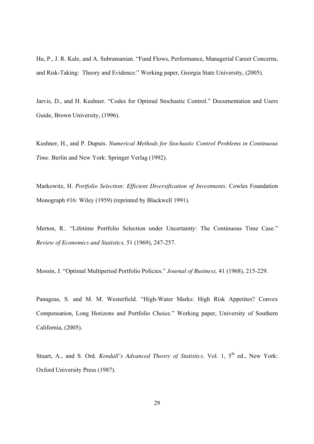Hu, P., J. R. Kale, and A. Subramanian. "Fund Flows, Performance, Managerial Career Concerns, and Risk-Taking: Theory and Evidence." Working paper, Georgia State University, (2005).

Jarvis, D., and H. Kushner. "Codes for Optimal Stochastic Control." Documentation and Users Guide, Brown University, (1996).

Kushner, H., and P. Dupuis. *Numerical Methods for Stochastic Control Problems in Continuous Time*. Berlin and New York: Springer Verlag (1992).

Markowitz, H. *Portfolio Selection: Efficient Diversification of Investments*. Cowles Foundation Monograph #16: Wiley (1959) (reprinted by Blackwell 1991).

Merton, R.. "Lifetime Portfolio Selection under Uncertainty: The Continuous Time Case." *Review of Economics and Statistics,* 51 (1969), 247-257.

Mossin, J. "Optimal Multiperiod Portfolio Policies." *Journal of Business,* 41 (1968), 215-229.

Panageas, S. and M. M. Westerfield. "High-Water Marks: High Risk Appetites? Convex Compensation, Long Horizons and Portfolio Choice." Working paper, University of Southern California, (2005).

Stuart, A., and S. Ord. *Kendall's Advanced Theory of Statistics*. Vol. 1, 5<sup>th</sup> ed., New York: Oxford University Press (1987).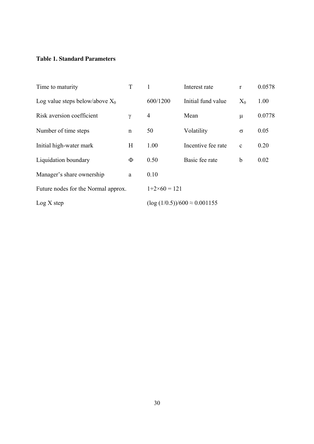# **Table 1. Standard Parameters**

| Time to maturity                    | T           |                                        | Interest rate      | $\mathbf{r}$ | 0.0578 |
|-------------------------------------|-------------|----------------------------------------|--------------------|--------------|--------|
| Log value steps below/above $X_0$   |             | 600/1200                               | Initial fund value | $X_0$        | 1.00   |
| Risk aversion coefficient           | $\gamma$    | $\overline{4}$                         | Mean               | $\mu$        | 0.0778 |
| Number of time steps                | $\mathbf n$ | 50                                     | Volatility         | $\sigma$     | 0.05   |
| Initial high-water mark             | H           | 1.00                                   | Incentive fee rate | $\mathbf c$  | 0.20   |
| Liquidation boundary                | Ф           | 0.50                                   | Basic fee rate     | $\mathbf b$  | 0.02   |
| Manager's share ownership           | a           | 0.10                                   |                    |              |        |
| Future nodes for the Normal approx. |             | $1+2\times 60 = 121$                   |                    |              |        |
| Log X step                          |             | $(\log{(1/0.5)})/600 \approx 0.001155$ |                    |              |        |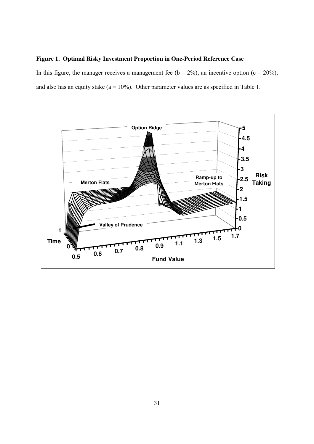# **Figure 1. Optimal Risky Investment Proportion in One-Period Reference Case**

In this figure, the manager receives a management fee ( $b = 2\%$ ), an incentive option ( $c = 20\%$ ), and also has an equity stake  $(a = 10\%)$ . Other parameter values are as specified in Table 1.

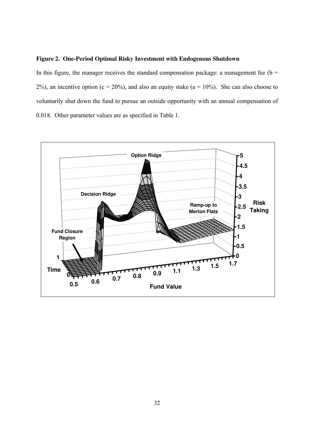## **Figure 2. One-Period Optimal Risky Investment with Endogenous Shutdown**

In this figure, the manager receives the standard compensation package: a management fee ( $b =$ 2%), an incentive option ( $c = 20\%$ ), and also an equity stake ( $a = 10\%$ ). She can also choose to voluntarily shut down the fund to pursue an outside opportunity with an annual compensation of 0.018. Other parameter values are as specified in Table 1.